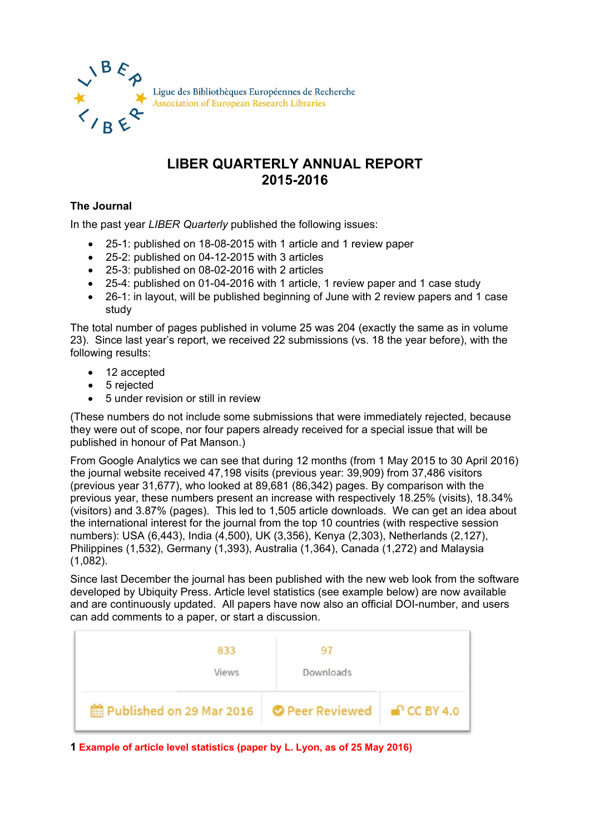

## **LIBER QUARTERLY ANNUAL REPORT 2015-2016**

## **The Journal**

In the past year *LIBER Quarterly* published the following issues:

- 25-1: published on 18-08-2015 with 1 article and 1 review paper
- 25-2: published on 04-12-2015 with 3 articles
- 25-3: published on 08-02-2016 with 2 articles
- 25-4: published on 01-04-2016 with 1 article, 1 review paper and 1 case study
- 26-1: in layout, will be published beginning of June with 2 review papers and 1 case study

The total number of pages published in volume 25 was 204 (exactly the same as in volume 23). Since last year's report, we received 22 submissions (vs. 18 the year before), with the following results:

- 12 accepted
- 5 rejected
- 5 under revision or still in review

(These numbers do not include some submissions that were immediately rejected, because they were out of scope, nor four papers already received for a special issue that will be published in honour of Pat Manson.)

From Google Analytics we can see that during 12 months (from 1 May 2015 to 30 April 2016) the journal website received 47,198 visits (previous year: 39,909) from 37,486 visitors (previous year 31,677), who looked at 89,681 (86,342) pages. By comparison with the previous year, these numbers present an increase with respectively 18.25% (visits), 18.34% (visitors) and 3.87% (pages). This led to 1,505 article downloads. We can get an idea about the international interest for the journal from the top 10 countries (with respective session numbers): USA (6,443), India (4,500), UK (3,356), Kenya (2,303), Netherlands (2,127), Philippines (1,532), Germany (1,393), Australia (1,364), Canada (1,272) and Malaysia (1,082).

Since last December the journal has been published with the new web look from the software developed by Ubiquity Press. Article level statistics (see example below) are now available and are continuously updated. All papers have now also an official DOI-number, and users can add comments to a paper, or start a discussion.



**1 Example of article level statistics (paper by L. Lyon, as of 25 May 2016)**